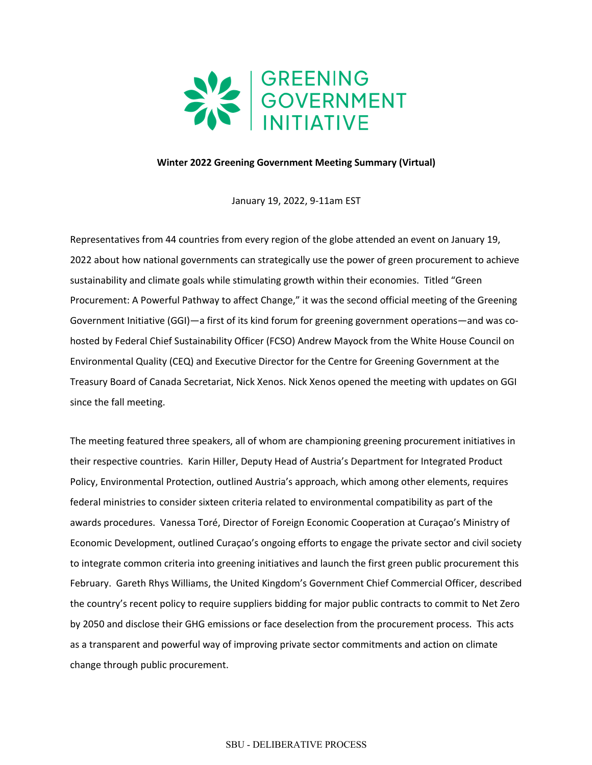

## **Winter 2022 Greening Government Meeting Summary (Virtual)**

January 19, 2022, 9-11am EST

 Representatives from 44 countries from every region of the globe attended an event on January 19, 2022 about how national governments can strategically use the power of green procurement to achieve sustainability and climate goals while stimulating growth within their economies. Titled "Green Procurement: A Powerful Pathway to affect Change," it was the second official meeting of the Greening hosted by Federal Chief Sustainability Officer (FCSO) Andrew Mayock from the White House Council on Environmental Quality (CEQ) and Executive Director for the Centre for Greening Government at the Treasury Board of Canada Secretariat, Nick Xenos. Nick Xenos opened the meeting with updates on GGI since the fall meeting. Government Initiative (GGI)—a first of its kind forum for greening government operations—and was co-

 The meeting featured three speakers, all of whom are championing greening procurement initiatives in their respective countries. Karin Hiller, Deputy Head of Austria's Department for Integrated Product awards procedures. Vanessa Toré, Director of Foreign Economic Cooperation at Curaçao's Ministry of Economic Development, outlined Curaçao's ongoing efforts to engage the private sector and civil society February. Gareth Rhys Williams, the United Kingdom's Government Chief Commercial Officer, described the country's recent policy to require suppliers bidding for major public contracts to commit to Net Zero by 2050 and disclose their GHG emissions or face deselection from the procurement process. This acts as a transparent and powerful way of improving private sector commitments and action on climate Policy, Environmental Protection, outlined Austria's approach, which among other elements, requires federal ministries to consider sixteen criteria related to environmental compatibility as part of the to integrate common criteria into greening initiatives and launch the first green public procurement this change through public procurement.